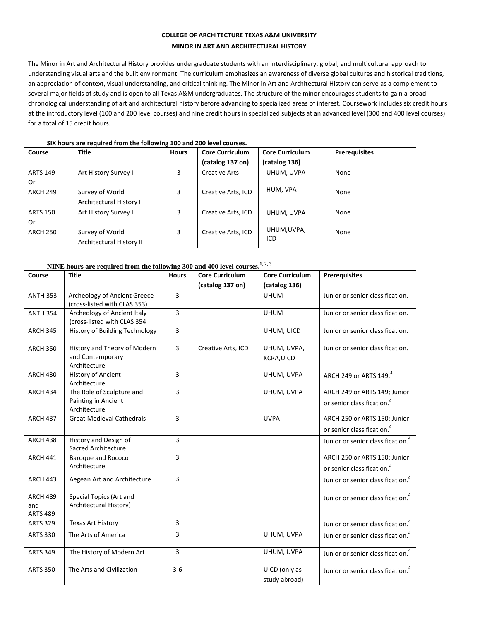## **COLLEGE OF ARCHITECTURE TEXAS A&M UNIVERSITY MINOR IN ART AND ARCHITECTURAL HISTORY**

The Minor in Art and Architectural History provides undergraduate students with an interdisciplinary, global, and multicultural approach to understanding visual arts and the built environment. The curriculum emphasizes an awareness of diverse global cultures and historical traditions, an appreciation of context, visual understanding, and critical thinking. The Minor in Art and Architectural History can serve as a complement to several major fields of study and is open to all Texas A&M undergraduates. The structure of the minor encourages students to gain a broad chronological understanding of art and architectural history before advancing to specialized areas of interest. Coursework includes six credit hours at the introductory level (100 and 200 level courses) and nine credit hours in specialized subjects at an advanced level (300 and 400 level courses) for a total of 15 credit hours.

| Course          | <b>Title</b>             | <b>Hours</b> | <b>Core Curriculum</b> | <b>Core Curriculum</b> | <b>Prerequisites</b> |
|-----------------|--------------------------|--------------|------------------------|------------------------|----------------------|
|                 |                          |              | (catalog 137 on)       | (catalog 136)          |                      |
| <b>ARTS 149</b> | Art History Survey I     | 3            | <b>Creative Arts</b>   | UHUM, UVPA             | None                 |
| 0r              |                          |              |                        |                        |                      |
| <b>ARCH 249</b> | Survey of World          | 3            | Creative Arts, ICD     | HUM, VPA               | None                 |
|                 | Architectural History I  |              |                        |                        |                      |
| <b>ARTS 150</b> | Art History Survey II    | 3            | Creative Arts, ICD     | UHUM, UVPA             | None                 |
| 0r              |                          |              |                        |                        |                      |
| <b>ARCH 250</b> | Survey of World          | 3            | Creative Arts, ICD     | UHUM,UVPA,<br>ICD      | None                 |
|                 | Architectural History II |              |                        |                        |                      |

**SIX hours are required from the following 100 and 200 level courses.**

## **NINE hours are required from the following 300 and 400 level courses. 1, 2, 3**

| Course                                    | <b>Title</b>                                                     | <b>Hours</b> | <b>Core Curriculum</b> | <b>Core Curriculum</b>           | <b>Prerequisites</b>                                                   |
|-------------------------------------------|------------------------------------------------------------------|--------------|------------------------|----------------------------------|------------------------------------------------------------------------|
|                                           |                                                                  |              | (catalog 137 on)       | (catalog 136)                    |                                                                        |
| <b>ANTH 353</b>                           | Archeology of Ancient Greece<br>(cross-listed with CLAS 353)     | 3            |                        | <b>UHUM</b>                      | Junior or senior classification.                                       |
| <b>ANTH 354</b>                           | Archeology of Ancient Italy<br>(cross-listed with CLAS 354       | 3            |                        | <b>UHUM</b>                      | Junior or senior classification.                                       |
| <b>ARCH 345</b>                           | History of Building Technology                                   | 3            |                        | UHUM, UICD                       | Junior or senior classification.                                       |
| <b>ARCH 350</b>                           | History and Theory of Modern<br>and Contemporary<br>Architecture | 3            | Creative Arts, ICD     | UHUM, UVPA,<br><b>KCRA, UICD</b> | Junior or senior classification.                                       |
| <b>ARCH 430</b>                           | <b>History of Ancient</b><br>Architecture                        | 3            |                        | UHUM, UVPA                       | ARCH 249 or ARTS 149.4                                                 |
| <b>ARCH 434</b>                           | The Role of Sculpture and<br>Painting in Ancient<br>Architecture | 3            |                        | UHUM, UVPA                       | ARCH 249 or ARTS 149; Junior<br>or senior classification. <sup>4</sup> |
| <b>ARCH 437</b>                           | <b>Great Medieval Cathedrals</b>                                 | 3            |                        | <b>UVPA</b>                      | ARCH 250 or ARTS 150; Junior<br>or senior classification. <sup>4</sup> |
| <b>ARCH 438</b>                           | History and Design of<br>Sacred Architecture                     | 3            |                        |                                  | Junior or senior classification. <sup>4</sup>                          |
| <b>ARCH 441</b>                           | Baroque and Rococo<br>Architecture                               | 3            |                        |                                  | ARCH 250 or ARTS 150; Junior<br>or senior classification. <sup>4</sup> |
| <b>ARCH 443</b>                           | Aegean Art and Architecture                                      | 3            |                        |                                  | Junior or senior classification. <sup>4</sup>                          |
| <b>ARCH 489</b><br>and<br><b>ARTS 489</b> | Special Topics (Art and<br>Architectural History)                |              |                        |                                  | Junior or senior classification. <sup>4</sup>                          |
| <b>ARTS 329</b>                           | <b>Texas Art History</b>                                         | 3            |                        |                                  | Junior or senior classification. <sup>4</sup>                          |
| <b>ARTS 330</b>                           | The Arts of America                                              | 3            |                        | UHUM, UVPA                       | Junior or senior classification. <sup>4</sup>                          |
| <b>ARTS 349</b>                           | The History of Modern Art                                        | 3            |                        | UHUM, UVPA                       | Junior or senior classification. <sup>4</sup>                          |
| <b>ARTS 350</b>                           | The Arts and Civilization                                        | $3-6$        |                        | UICD (only as<br>study abroad)   | Junior or senior classification. <sup>4</sup>                          |